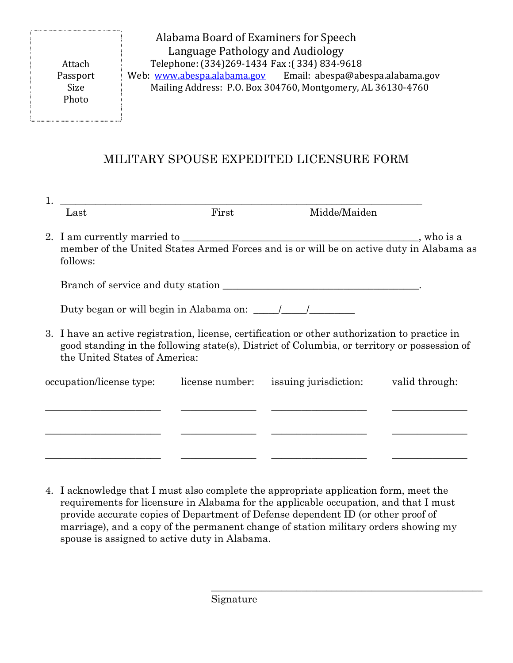Attach Passport Size Photo

Alabama Board of Examiners for Speech Language Pathology and Audiology Telephone: (334)269-1434 Fax :( 334) 834-9618 Web: www.abespa.alabama.gov Email: abespa@abespa.alabama.gov Mailing Address: P.O. Box 304760, Montgomery, AL 36130-4760

## MILITARY SPOUSE EXPEDITED LICENSURE FORM

| Last                                                                                                | First                                                                                                                                                                                          | Midde/Maiden                                                                  |  |
|-----------------------------------------------------------------------------------------------------|------------------------------------------------------------------------------------------------------------------------------------------------------------------------------------------------|-------------------------------------------------------------------------------|--|
| member of the United States Armed Forces and is or will be on active duty in Alabama as<br>follows: |                                                                                                                                                                                                |                                                                               |  |
|                                                                                                     |                                                                                                                                                                                                |                                                                               |  |
| Duty began or will begin in Alabama on: \[\sqrtdgale \]                                             |                                                                                                                                                                                                |                                                                               |  |
| the United States of America:                                                                       | 3. I have an active registration, license, certification or other authorization to practice in<br>good standing in the following state(s), District of Columbia, or territory or possession of |                                                                               |  |
|                                                                                                     |                                                                                                                                                                                                | occupation/license type: license number: issuing jurisdiction: valid through: |  |
|                                                                                                     |                                                                                                                                                                                                |                                                                               |  |
|                                                                                                     |                                                                                                                                                                                                |                                                                               |  |
|                                                                                                     |                                                                                                                                                                                                |                                                                               |  |

4. I acknowledge that I must also complete the appropriate application form, meet the requirements for licensure in Alabama for the applicable occupation, and that I must provide accurate copies of Department of Defense dependent ID (or other proof of marriage), and a copy of the permanent change of station military orders showing my spouse is assigned to active duty in Alabama.

\_\_\_\_\_\_\_\_\_\_\_\_\_\_\_\_\_\_\_\_\_\_\_\_\_\_\_\_\_\_\_\_\_\_\_\_\_\_\_\_\_\_\_\_\_\_\_\_\_\_\_\_\_\_